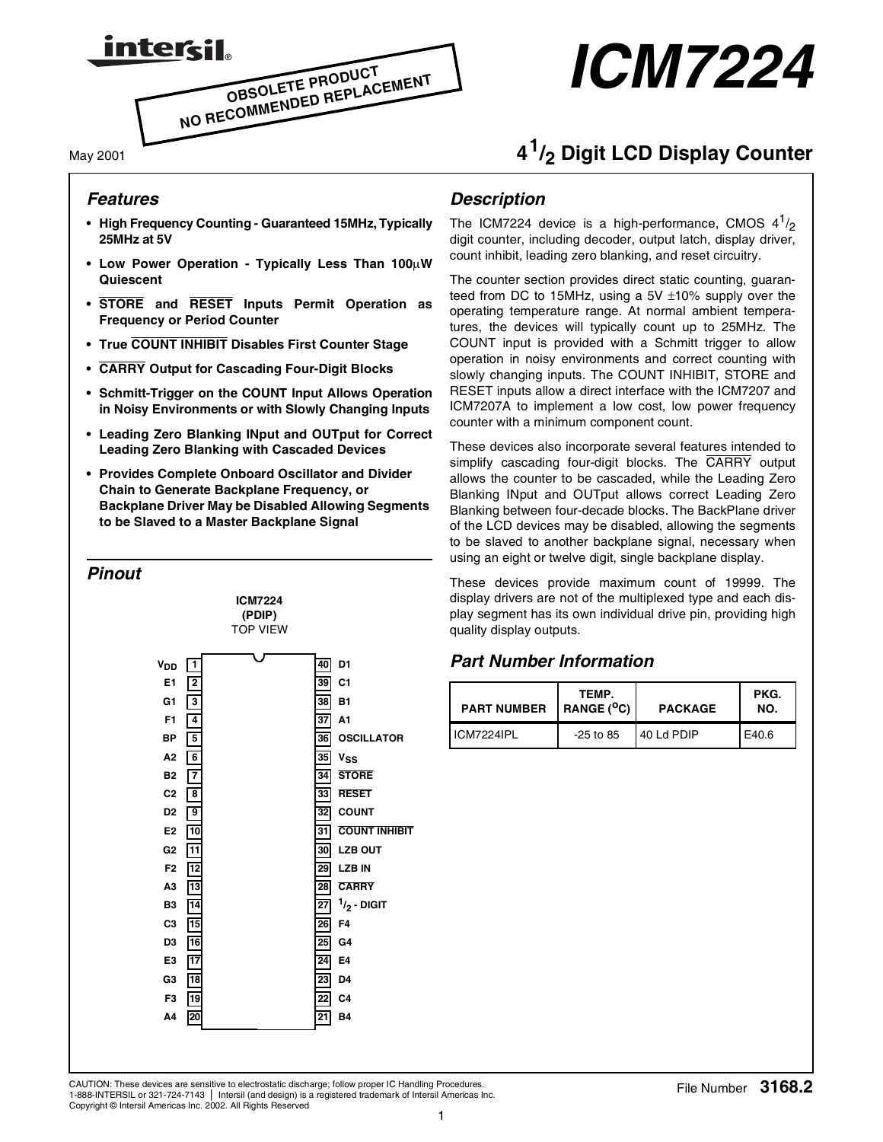

# *ICM7224*

#### May 2001

## **<sup>4</sup>1/2 Digit LCD Display Counter**

#### *Features*

- **High Frequency Counting Guaranteed 15MHz, Typically 25MHz at 5V**
- **Low Power Operation Typically Less Than 100**µ**W Quiescent**
- **STORE and RESET Inputs Permit Operation as Frequency or Period Counter**
- **True COUNT INHIBIT Disables First Counter Stage**
- **CARRY Output for Cascading Four-Digit Blocks**
- **Schmitt-Trigger on the COUNT Input Allows Operation in Noisy Environments or with Slowly Changing Inputs**
- **Leading Zero Blanking INput and OUTput for Correct Leading Zero Blanking with Cascaded Devices**
- **Provides Complete Onboard Oscillator and Divider Chain to Generate Backplane Frequency, or Backplane Driver May be Disabled Allowing Segments to be Slaved to a Master Backplane Signal**



#### *Description*

The ICM7224 device is a high-performance, CMOS  $4^{1}/_{2}$ digit counter, including decoder, output latch, display driver, count inhibit, leading zero blanking, and reset circuitry.

The counter section provides direct static counting, guaranteed from DC to 15MHz, using a 5V  $\pm$ 10% supply over the operating temperature range. At normal ambient temperatures, the devices will typically count up to 25MHz. The COUNT input is provided with a Schmitt trigger to allow operation in noisy environments and correct counting with slowly changing inputs. The COUNT INHIBIT, STORE and RESET inputs allow a direct interface with the ICM7207 and ICM7207A to implement a low cost, low power frequency counter with a minimum component count.

These devices also incorporate several features intended to simplify cascading four-digit blocks. The CARRY output allows the counter to be cascaded, while the Leading Zero Blanking INput and OUTput allows correct Leading Zero Blanking between four-decade blocks. The BackPlane driver of the LCD devices may be disabled, allowing the segments to be slaved to another backplane signal, necessary when using an eight or twelve digit, single backplane display.

These devices provide maximum count of 19999. The display drivers are not of the multiplexed type and each display segment has its own individual drive pin, providing high quality display outputs.

#### *Part Number Information*

| <b>PART NUMBER</b> | TEMP.<br>$R$ ANGE ( $^{\circ}$ C) | <b>PACKAGE</b> | PKG.<br>NO. |
|--------------------|-----------------------------------|----------------|-------------|
| ICM7224IPI         | $-25$ to 85                       | 40 Ld PDIP     | E40.6       |

CAUTION: These devices are sensitive to electrostatic discharge; follow proper IC Handling Procedures.<br>1.999.INTEDSU.or.201.704.7142. Listenii (and desira) is a series of the desiral of Internal of Internal Control of Inte 1-888-INTERSIL or 321-724-7143 | Intersil (and design) is a registered trademark of Intersil Americas Inc. Copyright © Intersil Americas Inc. 2002. All Rights Reserved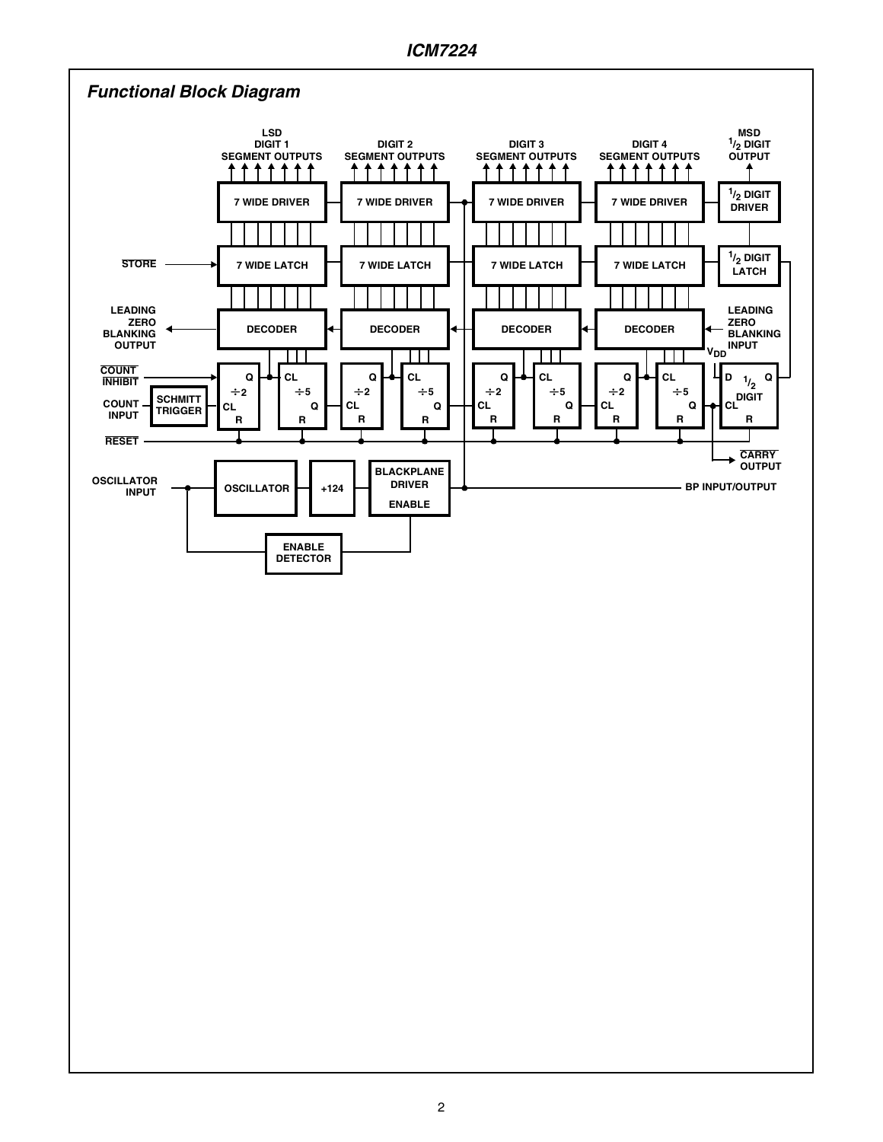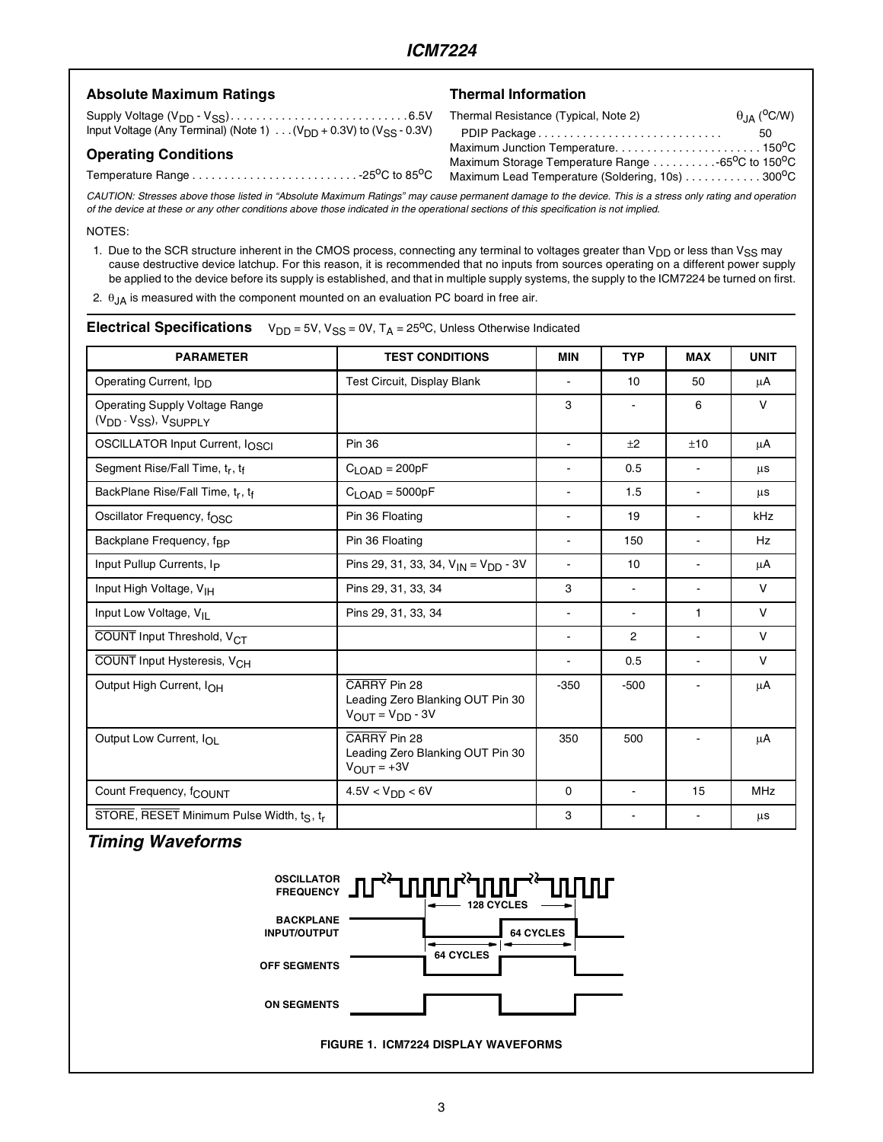#### Absolute Maximum Ratings **Thermal Information**

Supply Voltage (VDD - VSS). . . . . . . . . . . . . . . . . . . . . . . . . . . . 6.5V Input Voltage (Any Terminal) (Note 1)  $\ldots$  (V<sub>DD</sub> + 0.3V) to (V<sub>SS</sub> - 0.3V)

#### **Operating Conditions**

#### Temperature Range . . . . . . . . . . . . . . . . . . . . . . . . . . -25oC to 85oC

| Thermal Resistance (Typical, Note 2)            | $\theta$ <sub>JA</sub> ( <sup>o</sup> C/W) |
|-------------------------------------------------|--------------------------------------------|
| PDIP Package                                    | 50                                         |
| Maximum Junction Temperature150°C               |                                            |
| Maximum Storage Temperature Range 65°C to 150°C |                                            |
| Maximum Lead Temperature (Soldering, 10s) 300°C |                                            |

*CAUTION: Stresses above those listed in "Absolute Maximum Ratings" may cause permanent damage to the device. This is a stress only rating and operation of the device at these or any other conditions above those indicated in the operational sections of this specification is not implied.*

NOTES:

1. Due to the SCR structure inherent in the CMOS process, connecting any terminal to voltages greater than  $V_{DD}$  or less than  $V_{SS}$  may cause destructive device latchup. For this reason, it is recommended that no inputs from sources operating on a different power supply be applied to the device before its supply is established, and that in multiple supply systems, the supply to the ICM7224 be turned on first.

2.  $\theta$ <sub>JA</sub> is measured with the component mounted on an evaluation PC board in free air.

| <b>PARAMETER</b>                                                                                                      | <b>TEST CONDITIONS</b>                      | <b>MIN</b>               | <b>TYP</b>       | <b>MAX</b>     | <b>UNIT</b>  |
|-----------------------------------------------------------------------------------------------------------------------|---------------------------------------------|--------------------------|------------------|----------------|--------------|
| Operating Current, I <sub>DD</sub>                                                                                    | Test Circuit, Display Blank                 | $\blacksquare$           | 10 <sup>10</sup> | 50             | μA           |
| <b>Operating Supply Voltage Range</b><br>(V <sub>DD</sub> - V <sub>SS</sub> ), V <sub>SUPPLY</sub>                    |                                             | 3                        |                  | 6              | $\mathsf{V}$ |
| OSCILLATOR Input Current, IOSCI<br><b>Pin 36</b>                                                                      |                                             | $\blacksquare$           | $+2$             | ±10            | μA           |
| Segment Rise/Fall Time, tr, tf                                                                                        | $C_{\text{LOAD}} = 200pF$                   | $\blacksquare$           | 0.5              | $\blacksquare$ | μs           |
| BackPlane Rise/Fall Time, tr, tf<br>$C_{\text{LOAD}} = 5000pF$                                                        |                                             |                          | 1.5              | $\blacksquare$ | μs           |
| Oscillator Frequency, f <sub>OSC</sub><br>Pin 36 Floating                                                             |                                             | $\overline{\phantom{a}}$ | 19               | $\blacksquare$ | kHz          |
| Backplane Frequency, f <sub>RP</sub><br>Pin 36 Floating                                                               |                                             | $\blacksquare$           | 150              | $\overline{a}$ | <b>Hz</b>    |
| Input Pullup Currents, I <sub>P</sub>                                                                                 | Pins 29, 31, 33, 34, $V_{IN} = V_{DD} - 3V$ | $\blacksquare$           | 10               | $\blacksquare$ | μA           |
| Input High Voltage, V <sub>IH</sub>                                                                                   | Pins 29, 31, 33, 34                         | 3                        | $\blacksquare$   | $\overline{a}$ | $\mathsf{V}$ |
| Input Low Voltage, V <sub>II</sub><br>Pins 29, 31, 33, 34                                                             |                                             | $\blacksquare$           | $\overline{a}$   | 1              | $\vee$       |
| COUNT Input Threshold, V <sub>CT</sub>                                                                                |                                             | $\blacksquare$           | 2                | $\blacksquare$ | V            |
| COUNT Input Hysteresis, V <sub>CH</sub>                                                                               |                                             | $\blacksquare$           | 0.5              | $\overline{a}$ | $\mathsf{V}$ |
| CARRY Pin 28<br>Output High Current, IOH<br>Leading Zero Blanking OUT Pin 30<br>$V_{\text{OUT}} = V_{\text{DD}} - 3V$ |                                             | $-350$                   | $-500$           |                | μA           |
| CARRY Pin 28<br>Output Low Current, IOL<br>Leading Zero Blanking OUT Pin 30<br>$V_{\text{OUT}} = +3V$                 |                                             | 350                      | 500              |                | μA           |
| Count Frequency, f <sub>COUNT</sub>                                                                                   | $4.5V < V_{DD} < 6V$                        | $\Omega$                 | $\blacksquare$   | 15             | <b>MHz</b>   |
| STORE, RESET Minimum Pulse Width, ts, tr                                                                              |                                             | 3                        |                  |                | μs           |

#### **Electrical Specifications**  $V_{DD} = 5V$ ,  $V_{SS} = 0V$ ,  $T_A = 25^{\circ}C$ , Unless Otherwise Indicated

#### *Timing Waveforms*

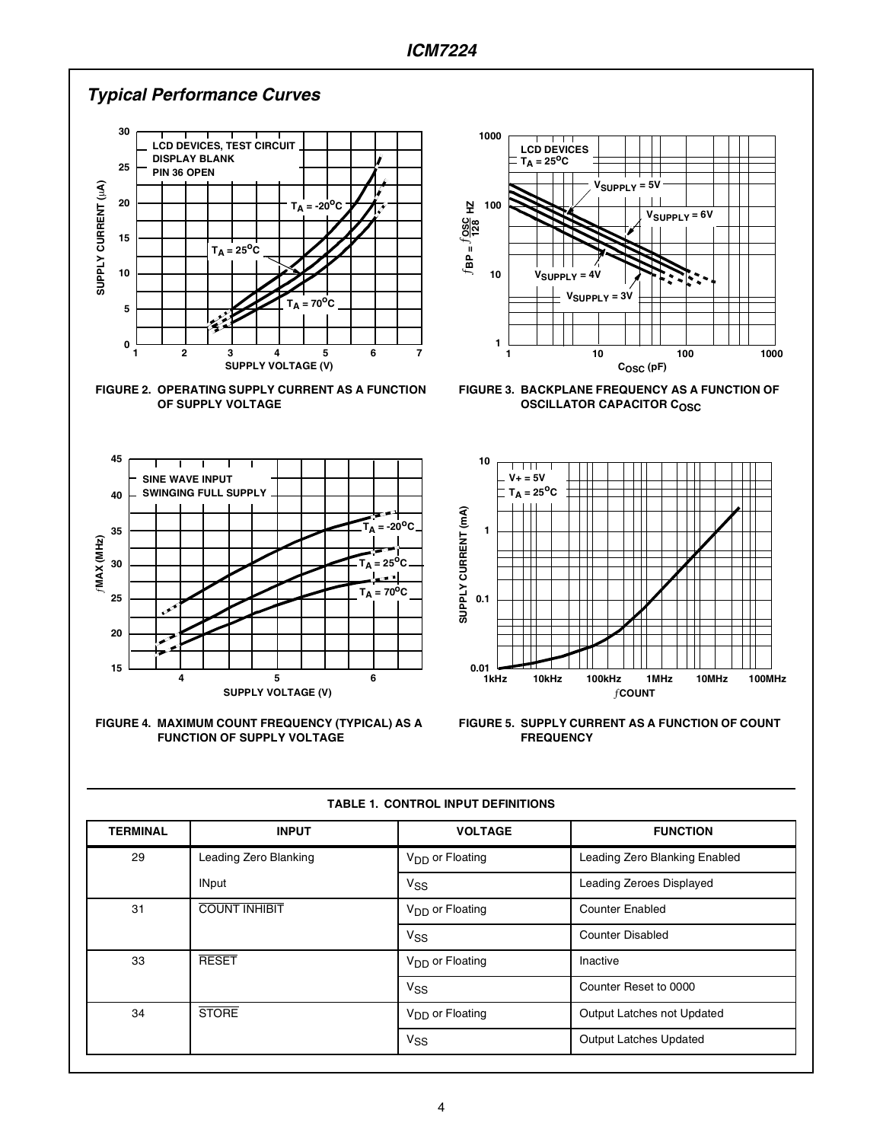











**FIGURE 3. BACKPLANE FREQUENCY AS A FUNCTION OF OSCILLATOR CAPACITOR COSC** 



**FIGURE 5. SUPPLY CURRENT AS A FUNCTION OF COUNT FREQUENCY**

| <b>TERMINAL</b> | <b>INPUT</b>          | <b>VOLTAGE</b>              | <b>FUNCTION</b>               |
|-----------------|-----------------------|-----------------------------|-------------------------------|
| 29              | Leading Zero Blanking | V <sub>DD</sub> or Floating | Leading Zero Blanking Enabled |
|                 | <b>INput</b>          | V <sub>SS</sub>             | Leading Zeroes Displayed      |
| 31              | <b>COUNT INHIBIT</b>  | V <sub>DD</sub> or Floating | <b>Counter Enabled</b>        |
|                 |                       | $V_{SS}$                    | <b>Counter Disabled</b>       |
| 33              | <b>RESET</b>          | V <sub>DD</sub> or Floating | Inactive                      |
|                 |                       | $V_{SS}$                    | Counter Reset to 0000         |
| 34              | <b>STORE</b>          | V <sub>DD</sub> or Floating | Output Latches not Updated    |
|                 |                       | V <sub>SS</sub>             | Output Latches Updated        |

**TABLE 1. CONTROL INPUT DEFINITIONS**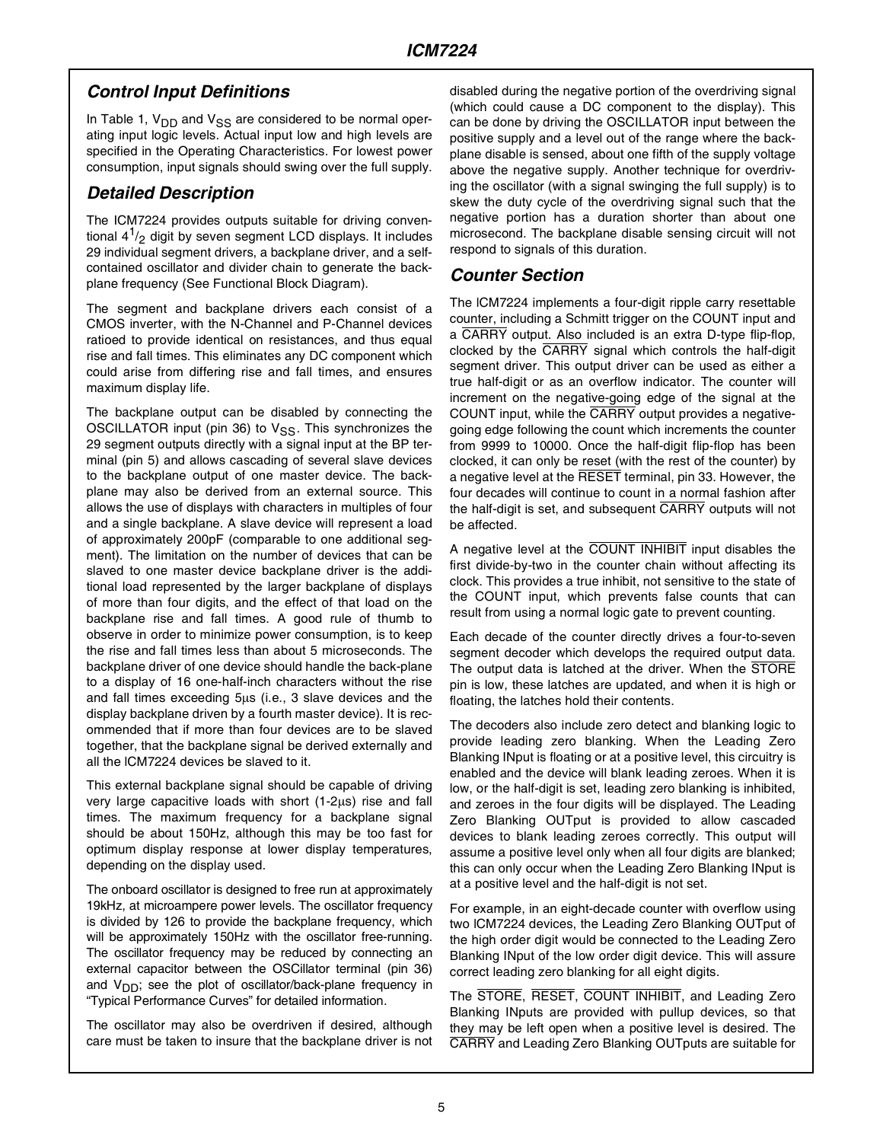### *Control Input Definitions*

In Table 1,  $V_{DD}$  and  $V_{SS}$  are considered to be normal operating input logic levels. Actual input low and high levels are specified in the Operating Characteristics. For lowest power consumption, input signals should swing over the full supply.

#### *Detailed Description*

The ICM7224 provides outputs suitable for driving conventional  $4^{1}/_{2}$  digit by seven segment LCD displays. It includes 29 individual segment drivers, a backplane driver, and a selfcontained oscillator and divider chain to generate the backplane frequency (See Functional Block Diagram).

The segment and backplane drivers each consist of a CMOS inverter, with the N-Channel and P-Channel devices ratioed to provide identical on resistances, and thus equal rise and fall times. This eliminates any DC component which could arise from differing rise and fall times, and ensures maximum display life.

The backplane output can be disabled by connecting the OSCILLATOR input (pin 36) to  $V_{SS}$ . This synchronizes the 29 segment outputs directly with a signal input at the BP terminal (pin 5) and allows cascading of several slave devices to the backplane output of one master device. The backplane may also be derived from an external source. This allows the use of displays with characters in multiples of four and a single backplane. A slave device will represent a load of approximately 200pF (comparable to one additional segment). The limitation on the number of devices that can be slaved to one master device backplane driver is the additional load represented by the larger backplane of displays of more than four digits, and the effect of that load on the backplane rise and fall times. A good rule of thumb to observe in order to minimize power consumption, is to keep the rise and fall times less than about 5 microseconds. The backplane driver of one device should handle the back-plane to a display of 16 one-half-inch characters without the rise and fall times exceeding 5µs (i.e., 3 slave devices and the display backplane driven by a fourth master device). It is recommended that if more than four devices are to be slaved together, that the backplane signal be derived externally and all the lCM7224 devices be slaved to it.

This external backplane signal should be capable of driving very large capacitive loads with short (1-2µs) rise and fall times. The maximum frequency for a backplane signal should be about 150Hz, although this may be too fast for optimum display response at lower display temperatures, depending on the display used.

The onboard oscillator is designed to free run at approximately 19kHz, at microampere power levels. The oscillator frequency is divided by 126 to provide the backplane frequency, which will be approximately 150Hz with the oscillator free-running. The oscillator frequency may be reduced by connecting an external capacitor between the OSCillator terminal (pin 36) and  $V_{DD}$ ; see the plot of oscillator/back-plane frequency in "Typical Performance Curves" for detailed information.

The oscillator may also be overdriven if desired, although care must be taken to insure that the backplane driver is not disabled during the negative portion of the overdriving signal (which could cause a DC component to the display). This can be done by driving the OSCILLATOR input between the positive supply and a level out of the range where the backplane disable is sensed, about one fifth of the supply voltage above the negative supply. Another technique for overdriving the oscillator (with a signal swinging the full supply) is to skew the duty cycle of the overdriving signal such that the negative portion has a duration shorter than about one microsecond. The backplane disable sensing circuit will not respond to signals of this duration.

#### *Counter Section*

The lCM7224 implements a four-digit ripple carry resettable counter, including a Schmitt trigger on the COUNT input and a CARRY output. Also included is an extra D-type flip-flop, clocked by the CARRY signal which controls the half-digit segment driver. This output driver can be used as either a true half-digit or as an overflow indicator. The counter will increment on the negative-going edge of the signal at the COUNT input, while the CARRY output provides a negativegoing edge following the count which increments the counter from 9999 to 10000. Once the half-digit flip-flop has been clocked, it can only be reset (with the rest of the counter) by a negative level at the RESET terminal, pin 33. However, the four decades will continue to count in a normal fashion after the half-digit is set, and subsequent CARRY outputs will not be affected.

A negative level at the COUNT INHIBIT input disables the first divide-by-two in the counter chain without affecting its clock. This provides a true inhibit, not sensitive to the state of the COUNT input, which prevents false counts that can result from using a normal logic gate to prevent counting.

Each decade of the counter directly drives a four-to-seven segment decoder which develops the required output data. The output data is latched at the driver. When the STORE pin is low, these latches are updated, and when it is high or floating, the latches hold their contents.

The decoders also include zero detect and blanking logic to provide leading zero blanking. When the Leading Zero Blanking INput is floating or at a positive level, this circuitry is enabled and the device will blank leading zeroes. When it is low, or the half-digit is set, leading zero blanking is inhibited, and zeroes in the four digits will be displayed. The Leading Zero Blanking OUTput is provided to allow cascaded devices to blank leading zeroes correctly. This output will assume a positive level only when all four digits are blanked; this can only occur when the Leading Zero Blanking INput is at a positive level and the half-digit is not set.

For example, in an eight-decade counter with overflow using two lCM7224 devices, the Leading Zero Blanking OUTput of the high order digit would be connected to the Leading Zero Blanking INput of the low order digit device. This will assure correct leading zero blanking for all eight digits.

The STORE, RESET, COUNT INHIBIT, and Leading Zero Blanking INputs are provided with pullup devices, so that they may be left open when a positive level is desired. The CARRY and Leading Zero Blanking OUTputs are suitable for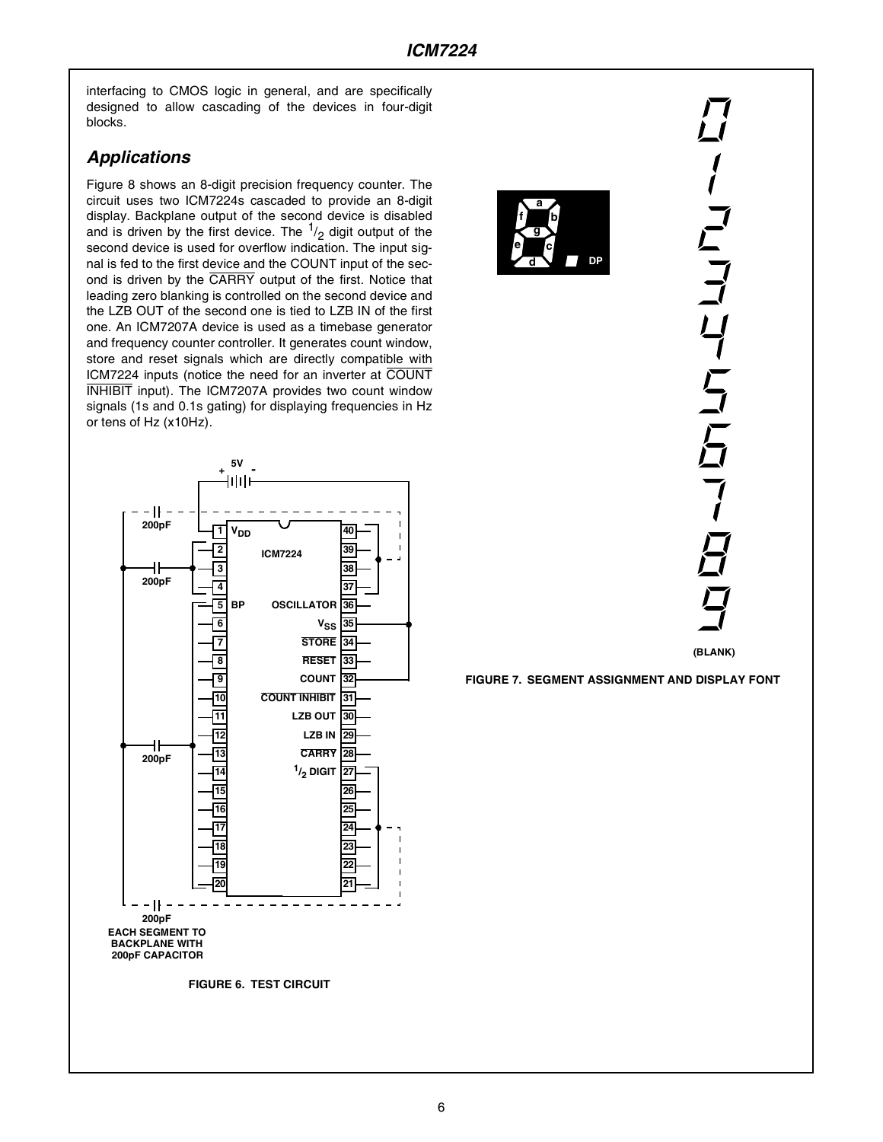interfacing to CMOS logic in general, and are specifically designed to allow cascading of the devices in four-digit blocks.

### *Applications*

Figure 8 shows an 8-digit precision frequency counter. The circuit uses two ICM7224s cascaded to provide an 8-digit display. Backplane output of the second device is disabled and is driven by the first device. The  $\frac{1}{2}$  digit output of the second device is used for overflow indication. The input signal is fed to the first device and the COUNT input of the second is driven by the CARRY output of the first. Notice that leading zero blanking is controlled on the second device and the LZB OUT of the second one is tied to LZB IN of the first one. An ICM7207A device is used as a timebase generator and frequency counter controller. It generates count window, store and reset signals which are directly compatible with ICM7224 inputs (notice the need for an inverter at COUNT INHIBIT input). The ICM7207A provides two count window signals (1s and 0.1s gating) for displaying frequencies in Hz or tens of Hz (x10Hz).





ハフココリ らこらて **(BLANK)**

**FIGURE 7. SEGMENT ASSIGNMENT AND DISPLAY FONT**